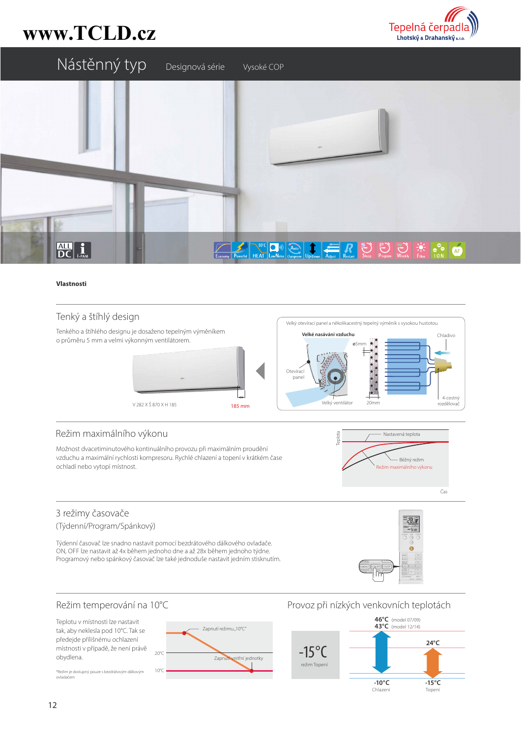# www.TCLD.cz





#### Vlastnosti

## Tenký a štíhlý design



## Režim maximálního výkonu

Možnost dvacetiminutového kontinuálního provozu při maximálním proudění vzduchu a maximální rychlosti kompresoru. Rychlé chlazení a topení v krátkém čase ochladí nebo vytopí místnost.



## 3 režimy časovače

(Týdenní/Program/Spánkový)

Týdenní časovač lze snadno nastavit pomocí bezdrátového dálkového ovladače. ON, OFF lze nastavit až 4x během jednoho dne a až 28x během jednoho týdne. Programový nebo spánkový časovač lze také jednoduše nastavit jedním stisknutím.



## Režim temperování na 10°C

Teplotu v místnosti lze nastavit tak, aby neklesla pod 10°C. Tak se předejde přílišnému ochlazení místnosti v případě, že není právě obydlena.

\*Režim je dostupný pouze s bezdrátovým dálkovým ovladač



## Provoz při nízkých venkovních teplotách